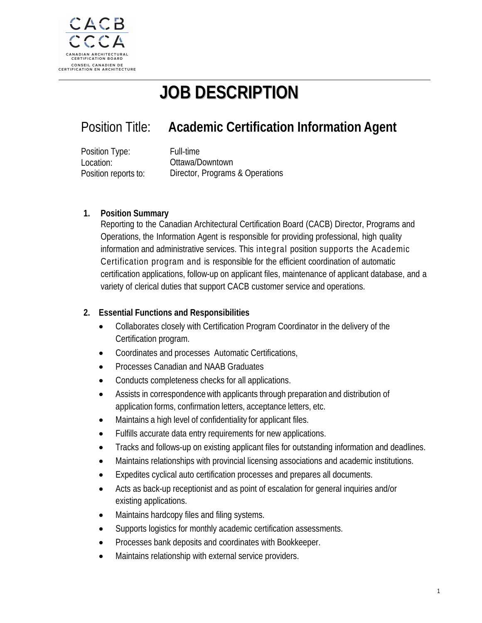

# **JOB DESCRIPTION**

## Position Title: **Academic Certification Information Agent**

Position Type: Location: Position reports to: Full‐time Ottawa/Downtown Director, Programs & Operations

#### **1. Position Summary**

Reporting to the Canadian Architectural Certification Board (CACB) Director, Programs and Operations, the Information Agent is responsible for providing professional, high quality information and administrative services. This integral position supports the Academic Certification program and is responsible for the efficient coordination of automatic certification applications, follow-up on applicant files, maintenance of applicant database, and a variety of clerical duties that support CACB customer service and operations.

### **2. Essential Functions and Responsibilities**

- Collaborates closely with Certification Program Coordinator in the delivery of the Certification program.
- Coordinates and processes Automatic Certifications,
- Processes Canadian and NAAB Graduates
- Conducts completeness checks for all applications.
- Assists in correspondence with applicants through preparation and distribution of application forms, confirmation letters, acceptance letters, etc.
- Maintains a high level of confidentiality for applicant files.
- Fulfills accurate data entry requirements for new applications.
- Tracks and follows-up on existing applicant files for outstanding information and deadlines.
- Maintains relationships with provincial licensing associations and academic institutions.
- Expedites cyclical auto certification processes and prepares all documents.
- Acts as back-up receptionist and as point of escalation for general inquiries and/or existing applications.
- Maintains hardcopy files and filing systems.
- Supports logistics for monthly academic certification assessments.
- Processes bank deposits and coordinates with Bookkeeper.
- Maintains relationship with external service providers.